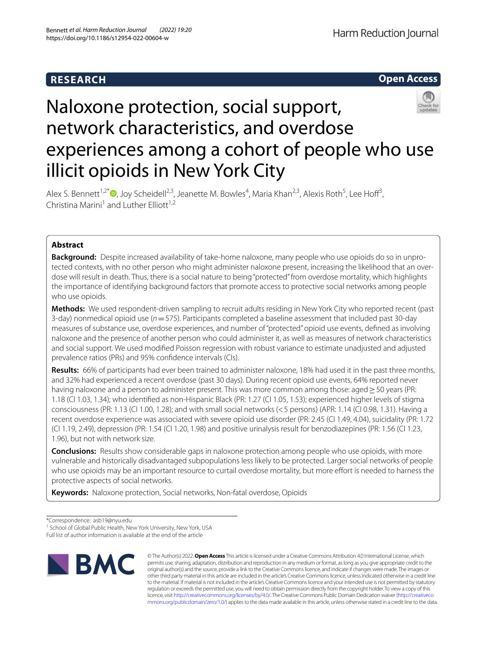## **RESEARCH**



# Naloxone protection, social support, network characteristics, and overdose experiences among a cohort of people who use illicit opioids in New York City

Alex S. Bennett<sup>1,2[\\*](http://orcid.org/0000-0001-6986-9925)</sup><sup>(D</sup>, Joy Scheidell<sup>2,3</sup>, Jeanette M. Bowles<sup>4</sup>, Maria Khan<sup>2,3</sup>, Alexis Roth<sup>5</sup>, Lee Hoff<sup>3</sup>, Christina Marini<sup>1</sup> and Luther Elliott<sup>1,2</sup>

## **Abstract**

**Background:** Despite increased availability of take-home naloxone, many people who use opioids do so in unprotected contexts, with no other person who might administer naloxone present, increasing the likelihood that an overdose will result in death. Thus, there is a social nature to being "protected" from overdose mortality, which highlights the importance of identifying background factors that promote access to protective social networks among people who use opioids.

**Methods:** We used respondent-driven sampling to recruit adults residing in New York City who reported recent (past 3-day) nonmedical opioid use (*n*=575). Participants completed a baseline assessment that included past 30-day measures of substance use, overdose experiences, and number of "protected" opioid use events, defned as involving naloxone and the presence of another person who could administer it, as well as measures of network characteristics and social support. We used modifed Poisson regression with robust variance to estimate unadjusted and adjusted prevalence ratios (PRs) and 95% confdence intervals (CIs).

**Results:** 66% of participants had ever been trained to administer naloxone, 18% had used it in the past three months, and 32% had experienced a recent overdose (past 30 days). During recent opioid use events, 64% reported never having naloxone and a person to administer present. This was more common among those: aged > 50 years (PR: 1.18 (CI 1.03, 1.34); who identifed as non-Hispanic Black (PR: 1.27 (CI 1.05, 1.53); experienced higher levels of stigma consciousness (PR: 1.13 (CI 1.00, 1.28); and with small social networks (<5 persons) (APR: 1.14 (CI 0.98, 1.31). Having a recent overdose experience was associated with severe opioid use disorder (PR: 2.45 (CI 1.49, 4.04), suicidality (PR: 1.72 (CI 1.19, 2.49), depression (PR: 1.54 (CI 1.20, 1.98) and positive urinalysis result for benzodiazepines (PR: 1.56 (CI 1.23, 1.96), but not with network size.

**Conclusions:** Results show considerable gaps in naloxone protection among people who use opioids, with more vulnerable and historically disadvantaged subpopulations less likely to be protected. Larger social networks of people who use opioids may be an important resource to curtail overdose mortality, but more effort is needed to harness the protective aspects of social networks.

**Keywords:** Naloxone protection, Social networks, Non-fatal overdose, Opioids

Full list of author information is available at the end of the article



© The Author(s) 2022. **Open Access** This article is licensed under a Creative Commons Attribution 4.0 International License, which permits use, sharing, adaptation, distribution and reproduction in any medium or format, as long as you give appropriate credit to the original author(s) and the source, provide a link to the Creative Commons licence, and indicate if changes were made. The images or other third party material in this article are included in the article's Creative Commons licence, unless indicated otherwise in a credit line to the material. If material is not included in the article's Creative Commons licence and your intended use is not permitted by statutory regulation or exceeds the permitted use, you will need to obtain permission directly from the copyright holder. To view a copy of this licence, visit [http://creativecommons.org/licenses/by/4.0/.](http://creativecommons.org/licenses/by/4.0/) The Creative Commons Public Domain Dedication waiver ([http://creativeco](http://creativecommons.org/publicdomain/zero/1.0/) [mmons.org/publicdomain/zero/1.0/](http://creativecommons.org/publicdomain/zero/1.0/)) applies to the data made available in this article, unless otherwise stated in a credit line to the data.

<sup>\*</sup>Correspondence: asb19@nyu.edu

<sup>&</sup>lt;sup>1</sup> School of Global Public Health, New York University, New York, USA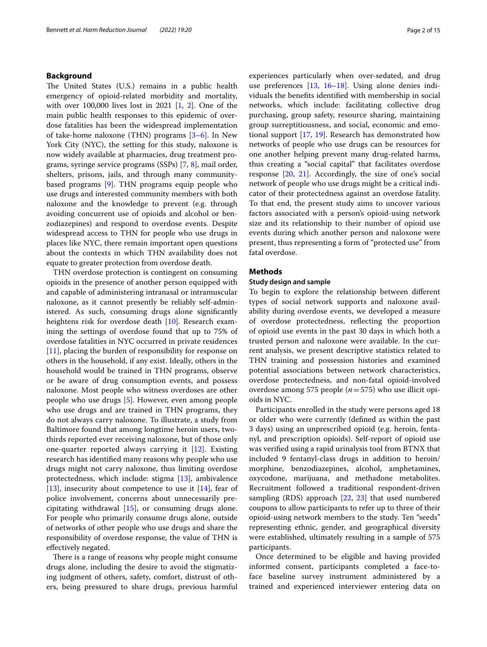## **Background**

The United States (U.S.) remains in a public health emergency of opioid-related morbidity and mortality, with over 100,000 lives lost in 2021 [[1,](#page-13-0) [2\]](#page-13-1). One of the main public health responses to this epidemic of overdose fatalities has been the widespread implementation of take-home naloxone (THN) programs [\[3](#page-13-2)[–6](#page-13-3)]. In New York City (NYC), the setting for this study, naloxone is now widely available at pharmacies, drug treatment programs, syringe service programs (SSPs) [\[7](#page-13-4), [8](#page-13-5)], mail order, shelters, prisons, jails, and through many communitybased programs [[9\]](#page-13-6). THN programs equip people who use drugs and interested community members with both naloxone and the knowledge to prevent (e.g. through avoiding concurrent use of opioids and alcohol or benzodiazepines) and respond to overdose events. Despite widespread access to THN for people who use drugs in places like NYC, there remain important open questions about the contexts in which THN availability does not equate to greater protection from overdose death.

THN overdose protection is contingent on consuming opioids in the presence of another person equipped with and capable of administering intranasal or intramuscular naloxone, as it cannot presently be reliably self-administered. As such, consuming drugs alone signifcantly heightens risk for overdose death [\[10\]](#page-13-7). Research examining the settings of overdose found that up to 75% of overdose fatalities in NYC occurred in private residences [[11\]](#page-13-8), placing the burden of responsibility for response on others in the household, if any exist. Ideally, others in the household would be trained in THN programs, observe or be aware of drug consumption events, and possess naloxone. Most people who witness overdoses are other people who use drugs [\[5](#page-13-9)]. However, even among people who use drugs and are trained in THN programs, they do not always carry naloxone. To illustrate, a study from Baltimore found that among longtime heroin users, twothirds reported ever receiving naloxone, but of those only one-quarter reported always carrying it [\[12](#page-13-10)]. Existing research has identifed many reasons why people who use drugs might not carry naloxone, thus limiting overdose protectedness, which include: stigma [\[13](#page-13-11)], ambivalence [[13\]](#page-13-11), insecurity about competence to use it  $[14]$  $[14]$ , fear of police involvement, concerns about unnecessarily precipitating withdrawal [\[15](#page-13-13)], or consuming drugs alone. For people who primarily consume drugs alone, outside of networks of other people who use drugs and share the responsibility of overdose response, the value of THN is efectively negated.

There is a range of reasons why people might consume drugs alone, including the desire to avoid the stigmatizing judgment of others, safety, comfort, distrust of others, being pressured to share drugs, previous harmful experiences particularly when over-sedated, and drug use preferences [[13,](#page-13-11) [16–](#page-13-14)[18](#page-14-0)]. Using alone denies individuals the benefts identifed with membership in social networks, which include: facilitating collective drug purchasing, group safety, resource sharing, maintaining group surreptitiousness, and social, economic and emotional support [[17,](#page-13-15) [19](#page-14-1)]. Research has demonstrated how networks of people who use drugs can be resources for one another helping prevent many drug-related harms, thus creating a "social capital" that facilitates overdose response [[20,](#page-14-2) [21](#page-14-3)]. Accordingly, the size of one's social network of people who use drugs might be a critical indicator of their protectedness against an overdose fatality. To that end, the present study aims to uncover various factors associated with a person's opioid-using network size and its relationship to their number of opioid use events during which another person and naloxone were present, thus representing a form of "protected use" from fatal overdose.

## **Methods**

## **Study design and sample**

To begin to explore the relationship between diferent types of social network supports and naloxone availability during overdose events, we developed a measure of overdose protectedness, refecting the proportion of opioid use events in the past 30 days in which both a trusted person and naloxone were available. In the current analysis, we present descriptive statistics related to THN training and possession histories and examined potential associations between network characteristics, overdose protectedness, and non-fatal opioid-involved overdose among 575 people (*n*=575) who use illicit opioids in NYC.

Participants enrolled in the study were persons aged 18 or older who were currently (defned as within the past 3 days) using an unprescribed opioid (e.g. heroin, fentanyl, and prescription opioids). Self-report of opioid use was verifed using a rapid urinalysis tool from BTNX that included 9 fentanyl-class drugs in addition to heroin/ morphine, benzodiazepines, alcohol, amphetamines, oxycodone, marijuana, and methadone metabolites. Recruitment followed a traditional respondent-driven sampling (RDS) approach [[22,](#page-14-4) [23\]](#page-14-5) that used numbered coupons to allow participants to refer up to three of their opioid-using network members to the study. Ten "seeds" representing ethnic, gender, and geographical diversity were established, ultimately resulting in a sample of 575 participants.

Once determined to be eligible and having provided informed consent, participants completed a face-toface baseline survey instrument administered by a trained and experienced interviewer entering data on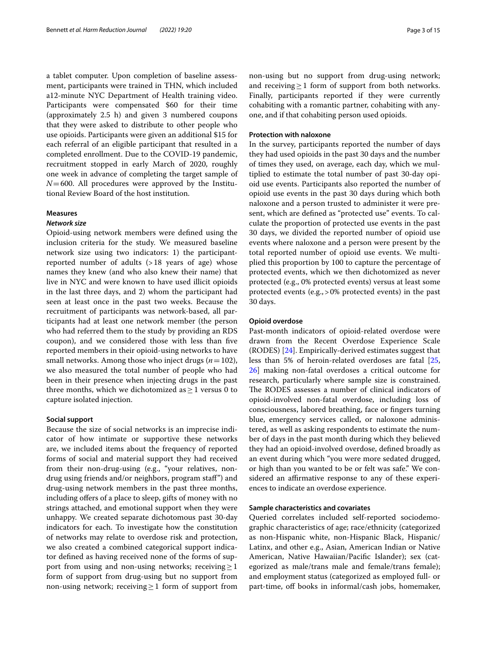a tablet computer. Upon completion of baseline assessment, participants were trained in THN, which included a12-minute NYC Department of Health training video. Participants were compensated \$60 for their time (approximately 2.5 h) and given 3 numbered coupons that they were asked to distribute to other people who use opioids. Participants were given an additional \$15 for each referral of an eligible participant that resulted in a completed enrollment. Due to the COVID-19 pandemic, recruitment stopped in early March of 2020, roughly one week in advance of completing the target sample of  $N=600$ . All procedures were approved by the Institutional Review Board of the host institution.

## **Measures**

## *Network size*

Opioid-using network members were defned using the inclusion criteria for the study. We measured baseline network size using two indicators: 1) the participantreported number of adults  $(>18$  years of age) whose names they knew (and who also knew their name) that live in NYC and were known to have used illicit opioids in the last three days, and 2) whom the participant had seen at least once in the past two weeks. Because the recruitment of participants was network-based, all participants had at least one network member (the person who had referred them to the study by providing an RDS coupon), and we considered those with less than fve reported members in their opioid-using networks to have small networks. Among those who inject drugs (*n*=102), we also measured the total number of people who had been in their presence when injecting drugs in the past three months, which we dichotomized as  $\geq 1$  versus 0 to capture isolated injection.

## **Social support**

Because the size of social networks is an imprecise indicator of how intimate or supportive these networks are, we included items about the frequency of reported forms of social and material support they had received from their non-drug-using (e.g., "your relatives, nondrug using friends and/or neighbors, program staf") and drug-using network members in the past three months, including ofers of a place to sleep, gifts of money with no strings attached, and emotional support when they were unhappy. We created separate dichotomous past 30-day indicators for each. To investigate how the constitution of networks may relate to overdose risk and protection, we also created a combined categorical support indicator defned as having received none of the forms of support from using and non-using networks; receiving  $\geq$  1 form of support from drug-using but no support from non-using network; receiving  $\geq$  1 form of support from non-using but no support from drug-using network; and receiving  $\geq 1$  form of support from both networks. Finally, participants reported if they were currently cohabiting with a romantic partner, cohabiting with anyone, and if that cohabiting person used opioids.

## **Protection with naloxone**

In the survey, participants reported the number of days they had used opioids in the past 30 days and the number of times they used, on average, each day, which we multiplied to estimate the total number of past 30-day opioid use events. Participants also reported the number of opioid use events in the past 30 days during which both naloxone and a person trusted to administer it were present, which are defned as "protected use" events. To calculate the proportion of protected use events in the past 30 days, we divided the reported number of opioid use events where naloxone and a person were present by the total reported number of opioid use events. We multiplied this proportion by 100 to capture the percentage of protected events, which we then dichotomized as never protected (e.g., 0% protected events) versus at least some protected events (e.g.,>0% protected events) in the past 30 days.

#### **Opioid overdose**

Past-month indicators of opioid-related overdose were drawn from the Recent Overdose Experience Scale (RODES) [\[24](#page-14-6)]. Empirically-derived estimates suggest that less than 5% of heroin-related overdoses are fatal [[25](#page-14-7), [26\]](#page-14-8) making non-fatal overdoses a critical outcome for research, particularly where sample size is constrained. The RODES assesses a number of clinical indicators of opioid-involved non-fatal overdose, including loss of consciousness, labored breathing, face or fngers turning blue, emergency services called, or naloxone administered, as well as asking respondents to estimate the number of days in the past month during which they believed they had an opioid-involved overdose, defned broadly as an event during which "you were more sedated drugged, or high than you wanted to be or felt was safe." We considered an affirmative response to any of these experiences to indicate an overdose experience.

## **Sample characteristics and covariates**

Queried correlates included self-reported sociodemographic characteristics of age; race/ethnicity (categorized as non-Hispanic white, non-Hispanic Black, Hispanic/ Latinx, and other e.g., Asian, American Indian or Native American, Native Hawaiian/Pacifc Islander); sex (categorized as male/trans male and female/trans female); and employment status (categorized as employed full- or part-time, of books in informal/cash jobs, homemaker,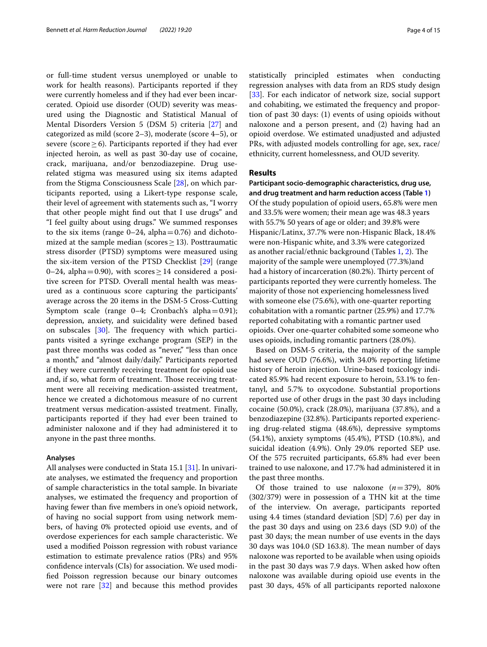or full-time student versus unemployed or unable to work for health reasons). Participants reported if they were currently homeless and if they had ever been incarcerated. Opioid use disorder (OUD) severity was measured using the Diagnostic and Statistical Manual of Mental Disorders Version 5 (DSM 5) criteria [[27\]](#page-14-9) and categorized as mild (score 2–3), moderate (score 4–5), or severe (score  $\geq$  6). Participants reported if they had ever injected heroin, as well as past 30-day use of cocaine, crack, marijuana, and/or benzodiazepine. Drug userelated stigma was measured using six items adapted from the Stigma Consciousness Scale [\[28](#page-14-10)], on which participants reported, using a Likert-type response scale, their level of agreement with statements such as, "I worry that other people might fnd out that I use drugs" and "I feel guilty about using drugs." We summed responses to the six items (range  $0-24$ , alpha $=0.76$ ) and dichotomized at the sample median (scores  $\geq$  13). Posttraumatic stress disorder (PTSD) symptoms were measured using the six-item version of the PTSD Checklist [[29](#page-14-11)] (range 0–24, alpha=0.90), with scores  $\geq$  14 considered a positive screen for PTSD. Overall mental health was measured as a continuous score capturing the participants' average across the 20 items in the DSM-5 Cross-Cutting Symptom scale (range 0–4; Cronbach's alpha=0.91); depression, anxiety, and suicidality were defned based on subscales  $[30]$ . The frequency with which participants visited a syringe exchange program (SEP) in the past three months was coded as "never," "less than once a month," and "almost daily/daily." Participants reported if they were currently receiving treatment for opioid use and, if so, what form of treatment. Those receiving treatment were all receiving medication-assisted treatment, hence we created a dichotomous measure of no current treatment versus medication-assisted treatment. Finally, participants reported if they had ever been trained to administer naloxone and if they had administered it to anyone in the past three months.

## **Analyses**

All analyses were conducted in Stata 15.1 [\[31](#page-14-13)]. In univariate analyses, we estimated the frequency and proportion of sample characteristics in the total sample. In bivariate analyses, we estimated the frequency and proportion of having fewer than fve members in one's opioid network, of having no social support from using network members, of having 0% protected opioid use events, and of overdose experiences for each sample characteristic. We used a modifed Poisson regression with robust variance estimation to estimate prevalence ratios (PRs) and 95% confdence intervals (CIs) for association. We used modifed Poisson regression because our binary outcomes were not rare [[32\]](#page-14-14) and because this method provides statistically principled estimates when conducting regression analyses with data from an RDS study design [[33\]](#page-14-15). For each indicator of network size, social support and cohabiting, we estimated the frequency and proportion of past 30 days: (1) events of using opioids without naloxone and a person present, and (2) having had an opioid overdose. We estimated unadjusted and adjusted PRs, with adjusted models controlling for age, sex, race/ ethnicity, current homelessness, and OUD severity.

### **Results**

**Participant socio‑demographic characteristics, drug use, and drug treatment and harm reduction access (Table [1](#page-4-0))** Of the study population of opioid users, 65.8% were men and 33.5% were women; their mean age was 48.3 years with 55.7% 50 years of age or older; and 39.8% were Hispanic/Latinx, 37.7% were non-Hispanic Black, 18.4% were non-Hispanic white, and 3.3% were categorized as another racial/ethnic background (Tables  $1, 2$ ). The majority of the sample were unemployed (77.3%)and had a history of incarceration (80.2%). Thirty percent of participants reported they were currently homeless. The majority of those not experiencing homelessness lived with someone else (75.6%), with one-quarter reporting cohabitation with a romantic partner (25.9%) and 17.7% reported cohabitating with a romantic partner used opioids. Over one-quarter cohabited some someone who uses opioids, including romantic partners (28.0%).

Based on DSM-5 criteria, the majority of the sample had severe OUD (76.6%), with 34.0% reporting lifetime history of heroin injection. Urine-based toxicology indicated 85.9% had recent exposure to heroin, 53.1% to fentanyl, and 5.7% to oxycodone. Substantial proportions reported use of other drugs in the past 30 days including cocaine (50.0%), crack (28.0%), marijuana (37.8%), and a benzodiazepine (32.8%). Participants reported experiencing drug-related stigma (48.6%), depressive symptoms (54.1%), anxiety symptoms (45.4%), PTSD (10.8%), and suicidal ideation (4.9%). Only 29.0% reported SEP use. Of the 575 recruited participants, 65.8% had ever been trained to use naloxone, and 17.7% had administered it in the past three months.

Of those trained to use naloxone  $(n=379)$ , 80% (302/379) were in possession of a THN kit at the time of the interview. On average, participants reported using 4.4 times (standard deviation [SD] 7.6) per day in the past 30 days and using on 23.6 days (SD 9.0) of the past 30 days; the mean number of use events in the days 30 days was  $104.0$  (SD 163.8). The mean number of days naloxone was reported to be available when using opioids in the past 30 days was 7.9 days. When asked how often naloxone was available during opioid use events in the past 30 days, 45% of all participants reported naloxone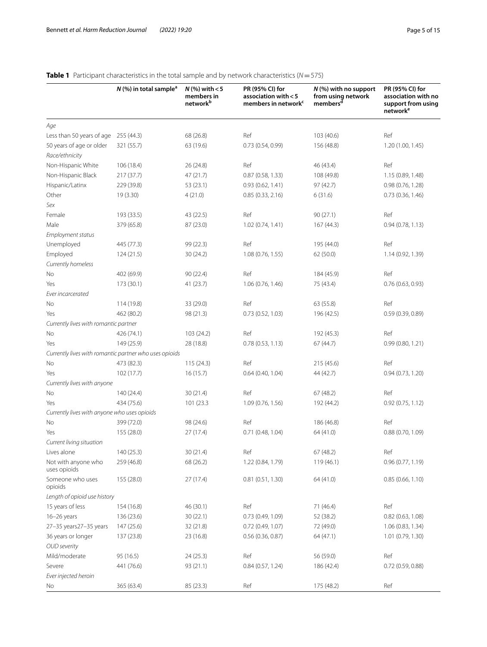## <span id="page-4-0"></span>**Table 1** Participant characteristics in the total sample and by network characteristics (*N*=575)

|                                                        | $N$ (%) in total sample <sup>a</sup> | $N$ (%) with $<$ 5<br>members in<br>network <sup>b</sup> | PR (95% CI) for<br>association with < 5<br>members in network <sup>c</sup> | $N$ (%) with no support<br>from using network<br>members <sup>d</sup> | PR (95% CI) for<br>association with no<br>support from using<br>network <sup>e</sup> |
|--------------------------------------------------------|--------------------------------------|----------------------------------------------------------|----------------------------------------------------------------------------|-----------------------------------------------------------------------|--------------------------------------------------------------------------------------|
| Age                                                    |                                      |                                                          |                                                                            |                                                                       |                                                                                      |
| Less than 50 years of age 255 (44.3)                   |                                      | 68 (26.8)                                                | Ref                                                                        | 103(40.6)                                                             | Ref                                                                                  |
| 50 years of age or older                               | 321 (55.7)                           | 63 (19.6)                                                | 0.73 (0.54, 0.99)                                                          | 156 (48.8)                                                            | 1.20 (1.00, 1.45)                                                                    |
| Race/ethnicity                                         |                                      |                                                          |                                                                            |                                                                       |                                                                                      |
| Non-Hispanic White                                     | 106 (18.4)                           | 26 (24.8)                                                | Ref                                                                        | 46 (43.4)                                                             | Ref                                                                                  |
| Non-Hispanic Black                                     | 217 (37.7)                           | 47 (21.7)                                                | 0.87 (0.58, 1.33)                                                          | 108 (49.8)                                                            | 1.15 (0.89, 1.48)                                                                    |
| Hispanic/Latinx                                        | 229 (39.8)                           | 53 (23.1)                                                | 0.93 (0.62, 1.41)                                                          | 97 (42.7)                                                             | 0.98 (0.76, 1.28)                                                                    |
| Other                                                  | 19 (3.30)                            | 4(21.0)                                                  | 0.85 (0.33, 2.16)                                                          | 6(31.6)                                                               | 0.73 (0.36, 1.46)                                                                    |
| Sex                                                    |                                      |                                                          |                                                                            |                                                                       |                                                                                      |
| Female                                                 | 193 (33.5)                           | 43 (22.5)                                                | Ref                                                                        | 90(27.1)                                                              | Ref                                                                                  |
| Male                                                   | 379 (65.8)                           | 87 (23.0)                                                | 1.02 (0.74, 1.41)                                                          | 167(44.3)                                                             | 0.94(0.78, 1.13)                                                                     |
| Employment status                                      |                                      |                                                          |                                                                            |                                                                       |                                                                                      |
| Unemployed                                             | 445 (77.3)                           | 99 (22.3)                                                | Ref                                                                        | 195 (44.0)                                                            | Ref                                                                                  |
| Employed                                               | 124 (21.5)                           | 30 (24.2)                                                | 1.08 (0.76, 1.55)                                                          | 62 (50.0)                                                             | 1.14 (0.92, 1.39)                                                                    |
| Currently homeless                                     |                                      |                                                          |                                                                            |                                                                       |                                                                                      |
| No                                                     | 402 (69.9)                           | 90(22.4)                                                 | Ref                                                                        | 184 (45.9)                                                            | Ref                                                                                  |
| Yes                                                    | 173 (30.1)                           | 41 (23.7)                                                | 1.06 (0.76, 1.46)                                                          | 75 (43.4)                                                             | 0.76(0.63, 0.93)                                                                     |
| Ever incarcerated                                      |                                      |                                                          |                                                                            |                                                                       |                                                                                      |
| No                                                     | 114 (19.8)                           | 33 (29.0)                                                | Ref                                                                        | 63 (55.8)                                                             | Ref                                                                                  |
| Yes                                                    | 462 (80.2)                           | 98 (21.3)                                                | 0.73 (0.52, 1.03)                                                          | 196 (42.5)                                                            | 0.59(0.39, 0.89)                                                                     |
| Currently lives with romantic partner                  |                                      |                                                          |                                                                            |                                                                       |                                                                                      |
| No                                                     | 426 (74.1)                           | 103 (24.2)                                               | Ref                                                                        | 192 (45.3)                                                            | Ref                                                                                  |
| Yes                                                    | 149 (25.9)                           | 28 (18.8)                                                | 0.78(0.53, 1.13)                                                           | 67(44.7)                                                              | 0.99(0.80, 1.21)                                                                     |
| Currently lives with romantic partner who uses opioids |                                      |                                                          |                                                                            |                                                                       |                                                                                      |
| No                                                     | 473 (82.3)                           | 115(24.3)                                                | Ref                                                                        | 215(45.6)                                                             | Ref                                                                                  |
| Yes                                                    | 102 (17.7)                           | 16(15.7)                                                 | 0.64(0.40, 1.04)                                                           | 44 (42.7)                                                             | 0.94(0.73, 1.20)                                                                     |
| Currently lives with anyone                            |                                      |                                                          |                                                                            |                                                                       |                                                                                      |
| No                                                     | 140 (24.4)                           | 30(21.4)                                                 | Ref                                                                        | 67 (48.2)                                                             | Ref                                                                                  |
| Yes                                                    | 434 (75.6)                           | 101 (23.3)                                               | 1.09 (0.76, 1.56)                                                          | 192 (44.2)                                                            | 0.92(0.75, 1.12)                                                                     |
|                                                        |                                      |                                                          |                                                                            |                                                                       |                                                                                      |
| Currently lives with anyone who uses opioids<br>No     | 399 (72.0)                           | 98 (24.6)                                                | Ref                                                                        |                                                                       | Ref                                                                                  |
| Yes                                                    | 155 (28.0)                           | 27(17.4)                                                 | 0.71(0.48, 1.04)                                                           | 186 (46.8)                                                            |                                                                                      |
|                                                        |                                      |                                                          |                                                                            | 64 (41.0)                                                             | 0.88(0.70, 1.09)                                                                     |
| Current living situation                               |                                      |                                                          |                                                                            |                                                                       |                                                                                      |
| Lives alone                                            | 140 (25.3)<br>259 (46.8)             | 30(21.4)                                                 | Ref                                                                        | 67 (48.2)                                                             | Ref                                                                                  |
| Not with anyone who<br>uses opioids                    |                                      | 68 (26.2)                                                | 1.22 (0.84, 1.79)                                                          | 119(46.1)                                                             | 0.96(0.77, 1.19)                                                                     |
| Someone who uses<br>opioids                            | 155 (28.0)                           | 27(17.4)                                                 | 0.81(0.51, 1.30)                                                           | 64 (41.0)                                                             | 0.85(0.66, 1.10)                                                                     |
| Length of opioid use history                           |                                      |                                                          |                                                                            |                                                                       |                                                                                      |
| 15 years of less                                       | 154 (16.8)                           | 46 (30.1)                                                | Ref                                                                        | 71 (46.4)                                                             | Ref                                                                                  |
| 16-26 years                                            | 136 (23.6)                           | 30(22.1)                                                 | 0.73(0.49, 1.09)                                                           | 52 (38.2)                                                             | 0.82(0.63, 1.08)                                                                     |
| 27-35 years 27-35 years                                | 147 (25.6)                           | 32 (21.8)                                                | $0.72$ (0.49, 1.07)                                                        | 72 (49.0)                                                             | 1.06 (0.83, 1.34)                                                                    |
| 36 years or longer                                     | 137 (23.8)                           | 23 (16.8)                                                | 0.56(0.36, 0.87)                                                           | 64 (47.1)                                                             | 1.01(0.79, 1.30)                                                                     |
| <b>OUD</b> severity                                    |                                      |                                                          |                                                                            |                                                                       |                                                                                      |
| Mild/moderate                                          | 95 (16.5)                            | 24 (25.3)                                                | Ref                                                                        | 56 (59.0)                                                             | Ref                                                                                  |
| Severe                                                 | 441 (76.6)                           | 93 (21.1)                                                | 0.84 (0.57, 1.24)                                                          | 186 (42.4)                                                            | 0.72(0.59, 0.88)                                                                     |
| Ever injected heroin                                   |                                      |                                                          |                                                                            |                                                                       |                                                                                      |
| No                                                     | 365 (63.4)                           | 85 (23.3)                                                | Ref                                                                        | 175 (48.2)                                                            | Ref                                                                                  |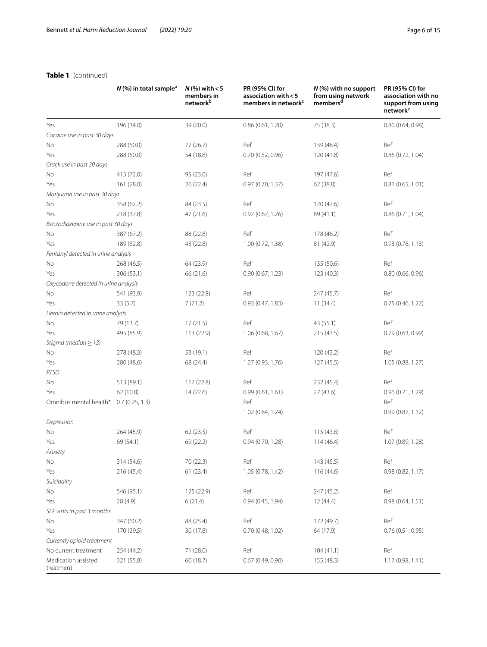## **Table 1** (continued)

|                                      | $N$ (%) in total sample <sup>a</sup> | $N$ (%) with $<$ 5<br>members in<br>network <sup>b</sup> | PR (95% CI) for<br>association with <5<br>members in network <sup>c</sup> | $N$ (%) with no support<br>from using network<br>members <sup>d</sup> | PR (95% CI) for<br>association with no<br>support from using<br>network <sup>e</sup> |
|--------------------------------------|--------------------------------------|----------------------------------------------------------|---------------------------------------------------------------------------|-----------------------------------------------------------------------|--------------------------------------------------------------------------------------|
| Yes                                  | 196 (34.0)                           | 39 (20.0)                                                | 0.86(0.61, 1.20)                                                          | 75 (38.3)                                                             | 0.80(0.64, 0.98)                                                                     |
| Cocaine use in past 30 days          |                                      |                                                          |                                                                           |                                                                       |                                                                                      |
| No                                   | 288 (50.0)                           | 77 (26.7)                                                | Ref                                                                       | 139 (48.4)                                                            | Ref                                                                                  |
| Yes                                  | 288 (50.0)                           | 54 (18.8)                                                | 0.70 (0.52, 0.96)                                                         | 120 (41.8)                                                            | 0.86(0.72, 1.04)                                                                     |
| Crack use in past 30 days            |                                      |                                                          |                                                                           |                                                                       |                                                                                      |
| No                                   | 415 (72.0)                           | 95 (23.0)                                                | Ref                                                                       | 197 (47.6)                                                            | Ref                                                                                  |
| Yes                                  | 161 (28.0)                           | 26 (22.4)                                                | 0.97(0.70, 1.37)                                                          | 62 (38.8)                                                             | 0.81(0.65, 1.01)                                                                     |
| Marijuana use in past 30 days        |                                      |                                                          |                                                                           |                                                                       |                                                                                      |
| No                                   | 358 (62.2)                           | 84 (23.5)                                                | Ref                                                                       | 170 (47.6)                                                            | Ref                                                                                  |
| Yes                                  | 218 (37.8)                           | 47 (21.6)                                                | 0.92(0.67, 1.26)                                                          | 89 (41.1)                                                             | 0.86(0.71, 1.04)                                                                     |
| Benzodiazepine use in past 30 days   |                                      |                                                          |                                                                           |                                                                       |                                                                                      |
| No                                   | 387 (67.2)                           | 88 (22.8)                                                | Ref                                                                       | 178 (46.2)                                                            | Ref                                                                                  |
| Yes                                  | 189 (32.8)                           | 43 (22.8)                                                | 1.00(0.72, 1.38)                                                          | 81 (42.9)                                                             | 0.93(0.76, 1.13)                                                                     |
| Fentanyl detected in urine analysis  |                                      |                                                          |                                                                           |                                                                       |                                                                                      |
| No                                   | 268 (46.5)                           | 64 (23.9)                                                | Ref                                                                       | 135 (50.6)                                                            | Ref                                                                                  |
| Yes                                  | 306 (53.1)                           | 66 (21.6)                                                | 0.90(0.67, 1.23)                                                          | 123 (40.3)                                                            | 0.80(0.66, 0.96)                                                                     |
| Oxycodone detected in urine analysis |                                      |                                                          |                                                                           |                                                                       |                                                                                      |
| No                                   | 541 (93.9)                           | 123 (22.8)                                               | Ref                                                                       | 247 (45.7)                                                            | Ref                                                                                  |
| Yes                                  | 33(5.7)                              | 7(21.2)                                                  | 0.93(0.47, 1.83)                                                          | 11(34.4)                                                              | 0.75(0.46, 1.22)                                                                     |
| Heroin detected in urine analysis    |                                      |                                                          |                                                                           |                                                                       |                                                                                      |
| No                                   | 79 (13.7)                            | 17(21.5)                                                 | Ref                                                                       | 43 (55.1)                                                             | Ref                                                                                  |
| Yes                                  | 495 (85.9)                           | 113 (22.9)                                               | 1.06(0.68, 1.67)                                                          | 215 (43.5)                                                            | 0.79(0.63, 0.99)                                                                     |
| Stigma (median $\geq$ 13)            |                                      |                                                          |                                                                           |                                                                       |                                                                                      |
| No                                   | 278 (48.3)                           | 53 (19.1)                                                | Ref                                                                       | 120 (43.2)                                                            | Ref                                                                                  |
| Yes                                  | 280 (48.6)                           | 68 (24.4)                                                | 1.27 (0.93, 1.76)                                                         | 127 (45.5)                                                            | 1.05 (0.88, 1.27)                                                                    |
| <b>PTSD</b>                          |                                      |                                                          |                                                                           |                                                                       |                                                                                      |
| No                                   | 513 (89.1)                           | 117 (22.8)                                               | Ref                                                                       | 232 (45.4)                                                            | Ref                                                                                  |
| Yes                                  | 62 (10.8)                            | 14(22.6)                                                 | 0.99(0.61, 1.61)                                                          | 27 (43.6)                                                             | 0.96(0.71, 1.29)                                                                     |
| Omnibus mental health*               | 0.7(0.25, 1.3)                       |                                                          | Ref                                                                       |                                                                       | Ref                                                                                  |
|                                      |                                      |                                                          | 1.02 (0.84, 1.24)                                                         |                                                                       | 0.99(0.87, 1.12)                                                                     |
| Depression                           |                                      |                                                          |                                                                           |                                                                       |                                                                                      |
| No                                   | 264 (45.9)                           | 62 (23.5)                                                | Ref                                                                       | 115(43.6)                                                             | Ref                                                                                  |
| Yes                                  | 69 (54.1)                            | 69 (22.2)                                                | 0.94(0.70, 1.28)                                                          | 114(46.4)                                                             | 1.07 (0.89, 1.28)                                                                    |
| Anxiety                              |                                      |                                                          |                                                                           |                                                                       |                                                                                      |
| No                                   | 314 (54.6)                           | 70 (22.3)                                                | Ref                                                                       | 143 (45.5)                                                            | Ref                                                                                  |
| Yes                                  | 216 (45.4)                           | 61(23.4)                                                 | 1.05(0.78, 1.42)                                                          | 116 (44.6)                                                            | 0.98(0.82, 1.17)                                                                     |
| Suicidality                          |                                      |                                                          |                                                                           |                                                                       |                                                                                      |
| No                                   | 546 (95.1)                           | 125 (22.9)                                               | Ref                                                                       | 247 (45.2)                                                            | Ref                                                                                  |
| Yes                                  | 28 (4.9)                             | 6(21.4)                                                  | 0.94(0.45, 1.94)                                                          | 12(44.4)                                                              | 0.98(0.64, 1.51)                                                                     |
| SEP visits in past 3 months          |                                      |                                                          |                                                                           |                                                                       |                                                                                      |
| No                                   | 347 (60.2)                           | 88 (25.4)                                                | Ref                                                                       | 172 (49.7)                                                            | Ref                                                                                  |
| Yes                                  | 170 (29.5)                           | 30 (17.8)                                                | 0.70(0.48, 1.02)                                                          | 64 (17.9)                                                             | 0.76(0.51, 0.95)                                                                     |
| Currently opioid treatment           |                                      |                                                          |                                                                           |                                                                       |                                                                                      |
| No current treatment                 | 254 (44.2)                           | 71 (28.0)                                                | Ref                                                                       | 104(41.1)                                                             | Ref                                                                                  |
| Medication assisted                  |                                      |                                                          |                                                                           |                                                                       |                                                                                      |
| treatment                            | 321 (55.8)                           | 60 (18.7)                                                | 0.67(0.49, 0.90)                                                          | 155 (48.3)                                                            | 1.17(0.98, 1.41)                                                                     |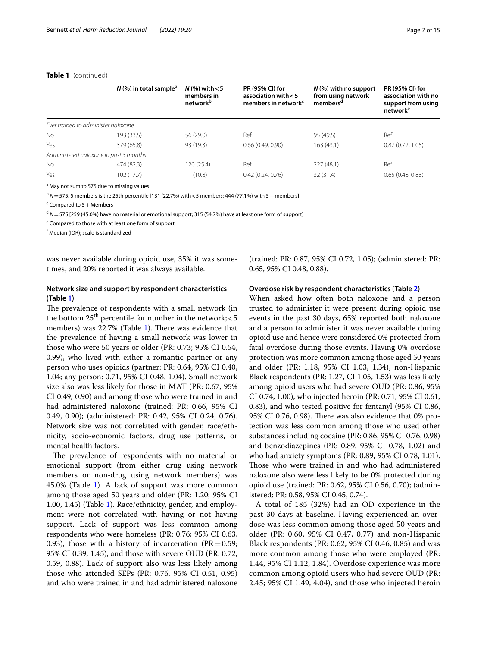## **Table 1** (continued)

|                                        | $N$ (%) in total sample <sup>a</sup> | $N$ (%) with $<$ 5<br>members in<br>network <sup>b</sup> | PR (95% CI) for<br>association with $< 5$<br>members in network <sup>c</sup> | $N$ (%) with no support<br>from using network<br>members <sup>a</sup> | PR (95% CI) for<br>association with no<br>support from using<br>network <sup>e</sup> |
|----------------------------------------|--------------------------------------|----------------------------------------------------------|------------------------------------------------------------------------------|-----------------------------------------------------------------------|--------------------------------------------------------------------------------------|
| Ever trained to administer naloxone    |                                      |                                                          |                                                                              |                                                                       |                                                                                      |
| <b>No</b>                              | 193 (33.5)                           | 56(29.0)                                                 | Ref                                                                          | 95 (49.5)                                                             | Ref                                                                                  |
| Yes                                    | 379 (65.8)                           | 93 (19.3)                                                | 0.66(0.49, 0.90)                                                             | 163(43.1)                                                             | 0.87(0.72, 1.05)                                                                     |
| Administered naloxone in past 3 months |                                      |                                                          |                                                                              |                                                                       |                                                                                      |
| <b>No</b>                              | 474 (82.3)                           | 120 (25.4)                                               | Ref                                                                          | 227(48.1)                                                             | Ref                                                                                  |
| Yes                                    | 102(17.7)                            | 11 (10.8)                                                | 0.42(0.24, 0.76)                                                             | 32 (31.4)                                                             | 0.65(0.48, 0.88)                                                                     |

<sup>a</sup> May not sum to 575 due to missing values

 $b$  *N* = 575; 5 members is the 25th percentile [131 (22.7%) with < 5 members; 444 (77.1%) with 5 + members]

 $\epsilon$  Compared to 5 + Members

<sup>d</sup> N = 575 [259 (45.0%) have no material or emotional support; 315 (54.7%) have at least one form of support]

<sup>e</sup> Compared to those with at least one form of support

\* Median (IQR); scale is standardized

was never available during opioid use, 35% it was sometimes, and 20% reported it was always available.

## **Network size and support by respondent characteristics (Table [1](#page-4-0))**

The prevalence of respondents with a small network (in the bottom  $25<sup>th</sup>$  percentile for number in the network; < 5 members) was  $22.7\%$  (Table [1\)](#page-4-0). There was evidence that the prevalence of having a small network was lower in those who were 50 years or older (PR: 0.73; 95% CI 0.54, 0.99), who lived with either a romantic partner or any person who uses opioids (partner: PR: 0.64, 95% CI 0.40, 1.04; any person: 0.71, 95% CI 0.48, 1.04). Small network size also was less likely for those in MAT (PR: 0.67, 95% CI 0.49, 0.90) and among those who were trained in and had administered naloxone (trained: PR: 0.66, 95% CI 0.49, 0.90); (administered: PR: 0.42, 95% CI 0.24, 0.76). Network size was not correlated with gender, race/ethnicity, socio-economic factors, drug use patterns, or mental health factors.

The prevalence of respondents with no material or emotional support (from either drug using network members or non-drug using network members) was 45.0% (Table [1](#page-4-0)). A lack of support was more common among those aged 50 years and older (PR: 1.20; 95% CI 1.00, 1.45) (Table [1\)](#page-4-0). Race/ethnicity, gender, and employment were not correlated with having or not having support. Lack of support was less common among respondents who were homeless (PR: 0.76; 95% CI 0.63, 0.93), those with a history of incarceration ( $PR = 0.59$ ; 95% CI 0.39, 1.45), and those with severe OUD (PR: 0.72, 0.59, 0.88). Lack of support also was less likely among those who attended SEPs (PR: 0.76, 95% CI 0.51, 0.95) and who were trained in and had administered naloxone

(trained: PR: 0.87, 95% CI 0.72, 1.05); (administered: PR: 0.65, 95% CI 0.48, 0.88).

## **Overdose risk by respondent characteristics (Table [2](#page-7-0))**

When asked how often both naloxone and a person trusted to administer it were present during opioid use events in the past 30 days, 65% reported both naloxone and a person to administer it was never available during opioid use and hence were considered 0% protected from fatal overdose during those events. Having 0% overdose protection was more common among those aged 50 years and older (PR: 1.18, 95% CI 1.03, 1.34), non-Hispanic Black respondents (PR: 1.27, CI 1.05, 1.53) was less likely among opioid users who had severe OUD (PR: 0.86, 95% CI 0.74, 1.00), who injected heroin (PR: 0.71, 95% CI 0.61, 0.83), and who tested positive for fentanyl (95% CI 0.86, 95% CI 0.76, 0.98). There was also evidence that  $0\%$  protection was less common among those who used other substances including cocaine (PR: 0.86, 95% CI 0.76, 0.98) and benzodiazepines (PR: 0.89, 95% CI 0.78, 1.02) and who had anxiety symptoms (PR: 0.89, 95% CI 0.78, 1.01). Those who were trained in and who had administered naloxone also were less likely to be 0% protected during opioid use (trained: PR: 0.62, 95% CI 0.56, 0.70); (administered: PR: 0.58, 95% CI 0.45, 0.74).

A total of 185 (32%) had an OD experience in the past 30 days at baseline. Having experienced an overdose was less common among those aged 50 years and older (PR: 0.60, 95% CI 0.47, 0.77) and non-Hispanic Black respondents (PR: 0.62, 95% CI 0.46, 0.85) and was more common among those who were employed (PR: 1.44, 95% CI 1.12, 1.84). Overdose experience was more common among opioid users who had severe OUD (PR: 2.45; 95% CI 1.49, 4.04), and those who injected heroin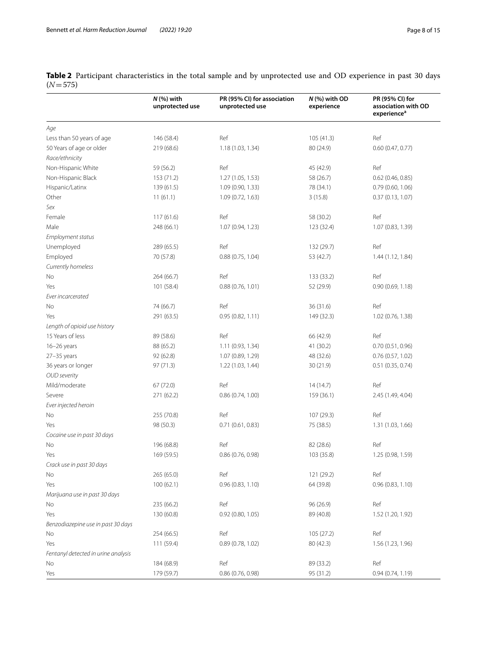<span id="page-7-0"></span>

|           | Table 2 Participant characteristics in the total sample and by unprotected use and OD experience in past 30 days |  |  |  |  |
|-----------|------------------------------------------------------------------------------------------------------------------|--|--|--|--|
| $(N=575)$ |                                                                                                                  |  |  |  |  |

|                                     | $N$ (%) with<br>unprotected use | PR (95% CI) for association<br>unprotected use | N (%) with OD<br>experience | PR (95% CI) for<br>association with OD<br>experience <sup>a</sup> |
|-------------------------------------|---------------------------------|------------------------------------------------|-----------------------------|-------------------------------------------------------------------|
| Age                                 |                                 |                                                |                             |                                                                   |
| Less than 50 years of age           | 146 (58.4)                      | Ref                                            | 105 (41.3)                  | Ref                                                               |
| 50 Years of age or older            | 219 (68.6)                      | 1.18 (1.03, 1.34)                              | 80 (24.9)                   | 0.60(0.47, 0.77)                                                  |
| Race/ethnicity                      |                                 |                                                |                             |                                                                   |
| Non-Hispanic White                  | 59 (56.2)                       | Ref                                            | 45 (42.9)                   | Ref                                                               |
| Non-Hispanic Black                  | 153 (71.2)                      | 1.27(1.05, 1.53)                               | 58 (26.7)                   | $0.62$ (0.46, 0.85)                                               |
| Hispanic/Latinx                     | 139 (61.5)                      | 1.09 (0.90, 1.33)                              | 78 (34.1)                   | 0.79 (0.60, 1.06)                                                 |
| Other                               | 11(61.1)                        | 1.09 (0.72, 1.63)                              | 3(15.8)                     | 0.37(0.13, 1.07)                                                  |
| Sex                                 |                                 |                                                |                             |                                                                   |
| Female                              | 117(61.6)                       | Ref                                            | 58 (30.2)                   | Ref                                                               |
| Male                                | 248 (66.1)                      | 1.07 (0.94, 1.23)                              | 123 (32.4)                  | 1.07 (0.83, 1.39)                                                 |
| Employment status                   |                                 |                                                |                             |                                                                   |
| Unemployed                          | 289 (65.5)                      | Ref                                            | 132 (29.7)                  | Ref                                                               |
| Employed                            | 70 (57.8)                       | 0.88(0.75, 1.04)                               | 53 (42.7)                   | 1.44 (1.12, 1.84)                                                 |
| Currently homeless                  |                                 |                                                |                             |                                                                   |
| No                                  | 264 (66.7)                      | Ref                                            | 133 (33.2)                  | Ref                                                               |
| Yes                                 | 101 (58.4)                      | 0.88(0.76, 1.01)                               | 52 (29.9)                   | 0.90(0.69, 1.18)                                                  |
| Ever incarcerated                   |                                 |                                                |                             |                                                                   |
| No                                  | 74 (66.7)                       | Ref                                            | 36 (31.6)                   | Ref                                                               |
| Yes                                 | 291 (63.5)                      | 0.95(0.82, 1.11)                               | 149 (32.3)                  | 1.02 (0.76, 1.38)                                                 |
| Length of opioid use history        |                                 |                                                |                             |                                                                   |
| 15 Years of less                    | 89 (58.6)                       | Ref                                            | 66 (42.9)                   | Ref                                                               |
| 16-26 years                         | 88 (65.2)                       | 1.11 (0.93, 1.34)                              | 41 (30.2)                   | 0.70(0.51, 0.96)                                                  |
| $27 - 35$ years                     | 92 (62.8)                       | 1.07 (0.89, 1.29)                              | 48 (32.6)                   | 0.76(0.57, 1.02)                                                  |
| 36 years or longer                  | 97 (71.3)                       | 1.22 (1.03, 1.44)                              | 30 (21.9)                   | 0.51(0.35, 0.74)                                                  |
| <b>OUD</b> severity                 |                                 |                                                |                             |                                                                   |
| Mild/moderate                       | 67 (72.0)                       | Ref                                            | 14(14.7)                    | Ref                                                               |
| Severe                              | 271 (62.2)                      | 0.86(0.74, 1.00)                               | 159 (36.1)                  | 2.45 (1.49, 4.04)                                                 |
| Ever injected heroin                |                                 |                                                |                             |                                                                   |
| No                                  | 255 (70.8)                      | Ref                                            | 107 (29.3)                  | Ref                                                               |
| Yes                                 | 98 (50.3)                       | 0.71(0.61, 0.83)                               | 75 (38.5)                   | 1.31 (1.03, 1.66)                                                 |
| Cocaine use in past 30 days         |                                 |                                                |                             |                                                                   |
| No                                  | 196 (68.8)                      | Ref                                            | 82 (28.6)                   | Ref                                                               |
| Yes                                 | 169 (59.5)                      | 0.86 (0.76, 0.98)                              | 103 (35.8)                  | 1.25 (0.98, 1.59)                                                 |
| Crack use in past 30 days           |                                 |                                                |                             |                                                                   |
| No                                  | 265 (65.0)                      | Ref                                            | 121 (29.2)                  | Ref                                                               |
| Yes                                 | 100(62.1)                       | 0.96(0.83, 1.10)                               | 64 (39.8)                   | 0.96(0.83, 1.10)                                                  |
| Marijuana use in past 30 days       |                                 |                                                |                             |                                                                   |
| No                                  | 235 (66.2)                      | Ref                                            | 96 (26.9)                   | Ref                                                               |
| Yes                                 | 130 (60.8)                      | 0.92 (0.80, 1.05)                              | 89 (40.8)                   | 1.52 (1.20, 1.92)                                                 |
| Benzodiazepine use in past 30 days  |                                 |                                                |                             |                                                                   |
| No                                  | 254 (66.5)                      | Ref                                            | 105 (27.2)                  | Ref                                                               |
| Yes                                 | 111 (59.4)                      | 0.89 (0.78, 1.02)                              | 80 (42.3)                   | 1.56 (1.23, 1.96)                                                 |
| Fentanyl detected in urine analysis |                                 |                                                |                             |                                                                   |
| No                                  | 184 (68.9)                      | Ref                                            | 89 (33.2)                   | Ref                                                               |
| Yes                                 | 179 (59.7)                      | 0.86(0.76, 0.98)                               | 95 (31.2)                   | 0.94(0.74, 1.19)                                                  |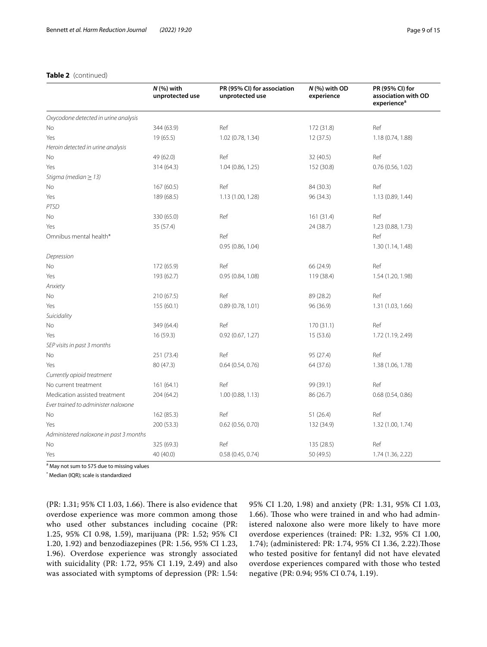## **Table 2** (continued)

|                                        | $N$ (%) with<br>unprotected use | PR (95% CI) for association<br>unprotected use | N (%) with OD<br>experience | PR (95% CI) for<br>association with OD<br>experience <sup>a</sup> |
|----------------------------------------|---------------------------------|------------------------------------------------|-----------------------------|-------------------------------------------------------------------|
| Oxycodone detected in urine analysis   |                                 |                                                |                             |                                                                   |
| <b>No</b>                              | 344 (63.9)                      | Ref                                            | 172 (31.8)                  | Ref                                                               |
| Yes                                    | 19(65.5)                        | 1.02 (0.78, 1.34)                              | 12 (37.5)                   | 1.18 (0.74, 1.88)                                                 |
| Heroin detected in urine analysis      |                                 |                                                |                             |                                                                   |
| No                                     | 49 (62.0)                       | Ref                                            | 32(40.5)                    | Ref                                                               |
| Yes                                    | 314 (64.3)                      | 1.04 (0.86, 1.25)                              | 152 (30.8)                  | 0.76 (0.56, 1.02)                                                 |
| Stigma (median $\geq$ 13)              |                                 |                                                |                             |                                                                   |
| No                                     | 167(60.5)                       | Ref                                            | 84 (30.3)                   | Ref                                                               |
| Yes                                    | 189 (68.5)                      | 1.13 (1.00, 1.28)                              | 96 (34.3)                   | 1.13 (0.89, 1.44)                                                 |
| <b>PTSD</b>                            |                                 |                                                |                             |                                                                   |
| No                                     | 330 (65.0)                      | Ref                                            | 161(31.4)                   | Ref                                                               |
| Yes                                    | 35 (57.4)                       |                                                | 24 (38.7)                   | 1.23 (0.88, 1.73)                                                 |
| Omnibus mental health*                 |                                 | Ref                                            |                             | Ref                                                               |
|                                        |                                 | 0.95(0.86, 1.04)                               |                             | 1.30(1.14, 1.48)                                                  |
| Depression                             |                                 |                                                |                             |                                                                   |
| No                                     | 172 (65.9)                      | Ref                                            | 66 (24.9)                   | Ref                                                               |
| Yes                                    | 193 (62.7)                      | 0.95(0.84, 1.08)                               | 119 (38.4)                  | 1.54 (1.20, 1.98)                                                 |
| Anxiety                                |                                 |                                                |                             |                                                                   |
| No                                     | 210 (67.5)                      | Ref                                            | 89 (28.2)                   | Ref                                                               |
| Yes                                    | 155 (60.1)                      | 0.89(0.78, 1.01)                               | 96 (36.9)                   | 1.31 (1.03, 1.66)                                                 |
| Suicidality                            |                                 |                                                |                             |                                                                   |
| No                                     | 349 (64.4)                      | Ref                                            | 170 (31.1)                  | Ref                                                               |
| Yes                                    | 16(59.3)                        | 0.92(0.67, 1.27)                               | 15(53.6)                    | 1.72 (1.19, 2.49)                                                 |
| SEP visits in past 3 months            |                                 |                                                |                             |                                                                   |
| No                                     | 251 (73.4)                      | Ref                                            | 95 (27.4)                   | Ref                                                               |
| Yes                                    | 80 (47.3)                       | 0.64(0.54, 0.76)                               | 64 (37.6)                   | 1.38 (1.06, 1.78)                                                 |
| Currently opioid treatment             |                                 |                                                |                             |                                                                   |
| No current treatment                   | 161 (64.1)                      | Ref                                            | 99 (39.1)                   | Ref                                                               |
| Medication assisted treatment          | 204 (64.2)                      | 1.00(0.88, 1.13)                               | 86 (26.7)                   | 0.68 (0.54, 0.86)                                                 |
| Ever trained to administer naloxone    |                                 |                                                |                             |                                                                   |
| No                                     | 162 (85.3)                      | Ref                                            | 51(26.4)                    | Ref                                                               |
| Yes                                    | 200 (53.3)                      | 0.62 (0.56, 0.70)                              | 132 (34.9)                  | 1.32 (1.00, 1.74)                                                 |
| Administered naloxone in past 3 months |                                 |                                                |                             |                                                                   |
| No                                     | 325 (69.3)                      | Ref                                            | 135 (28.5)                  | Ref                                                               |
| Yes                                    | 40 (40.0)                       | 0.58(0.45, 0.74)                               | 50 (49.5)                   | 1.74 (1.36, 2.22)                                                 |

<sup>a</sup> May not sum to 575 due to missing values

\* Median (IQR); scale is standardized

(PR: 1.31; 95% CI 1.03, 1.66). There is also evidence that overdose experience was more common among those who used other substances including cocaine (PR: 1.25, 95% CI 0.98, 1.59), marijuana (PR: 1.52; 95% CI 1.20, 1.92) and benzodiazepines (PR: 1.56, 95% CI 1.23, 1.96). Overdose experience was strongly associated with suicidality (PR: 1.72, 95% CI 1.19, 2.49) and also was associated with symptoms of depression (PR: 1.54: 95% CI 1.20, 1.98) and anxiety (PR: 1.31, 95% CI 1.03, 1.66). Those who were trained in and who had administered naloxone also were more likely to have more overdose experiences (trained: PR: 1.32, 95% CI 1.00, 1.74); (administered: PR: 1.74, 95% CI 1.36, 2.22).Tose who tested positive for fentanyl did not have elevated overdose experiences compared with those who tested negative (PR: 0.94; 95% CI 0.74, 1.19).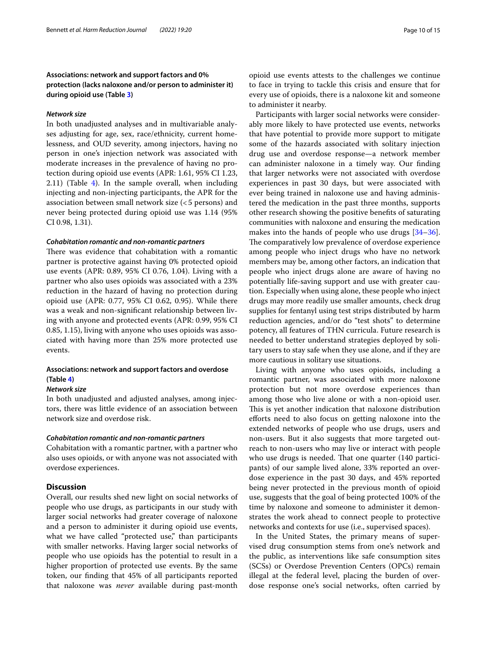## **Associations: network and support factors and 0% protection (lacks naloxone and/or person to administer it) during opioid use (Table [3](#page-10-0))**

#### *Network size*

In both unadjusted analyses and in multivariable analyses adjusting for age, sex, race/ethnicity, current homelessness, and OUD severity, among injectors, having no person in one's injection network was associated with moderate increases in the prevalence of having no protection during opioid use events (APR: 1.61, 95% CI 1.23, 2.11) (Table [4\)](#page-11-0). In the sample overall, when including injecting and non-injecting participants, the APR for the association between small network size (<5 persons) and never being protected during opioid use was 1.14 (95% CI 0.98, 1.31).

#### *Cohabitation romantic and non‑romantic partners*

There was evidence that cohabitation with a romantic partner is protective against having 0% protected opioid use events (APR: 0.89, 95% CI 0.76, 1.04). Living with a partner who also uses opioids was associated with a 23% reduction in the hazard of having no protection during opioid use (APR: 0.77, 95% CI 0.62, 0.95). While there was a weak and non-signifcant relationship between living with anyone and protected events (APR: 0.99, 95% CI 0.85, 1.15), living with anyone who uses opioids was associated with having more than 25% more protected use events.

## **Associations: network and support factors and overdose (Table [4](#page-11-0))**

#### *Network size*

In both unadjusted and adjusted analyses, among injectors, there was little evidence of an association between network size and overdose risk.

#### *Cohabitation romantic and non‑romantic partners*

Cohabitation with a romantic partner, with a partner who also uses opioids, or with anyone was not associated with overdose experiences.

## **Discussion**

Overall, our results shed new light on social networks of people who use drugs, as participants in our study with larger social networks had greater coverage of naloxone and a person to administer it during opioid use events, what we have called "protected use," than participants with smaller networks. Having larger social networks of people who use opioids has the potential to result in a higher proportion of protected use events. By the same token, our fnding that 45% of all participants reported that naloxone was *never* available during past-month

opioid use events attests to the challenges we continue to face in trying to tackle this crisis and ensure that for every use of opioids, there is a naloxone kit and someone to administer it nearby.

Participants with larger social networks were considerably more likely to have protected use events, networks that have potential to provide more support to mitigate some of the hazards associated with solitary injection drug use and overdose response—a network member can administer naloxone in a timely way. Our fnding that larger networks were not associated with overdose experiences in past 30 days, but were associated with ever being trained in naloxone use and having administered the medication in the past three months, supports other research showing the positive benefts of saturating communities with naloxone and ensuring the medication makes into the hands of people who use drugs [[34](#page-14-16)[–36](#page-14-17)]. The comparatively low prevalence of overdose experience among people who inject drugs who have no network members may be, among other factors, an indication that people who inject drugs alone are aware of having no potentially life-saving support and use with greater caution. Especially when using alone, these people who inject drugs may more readily use smaller amounts, check drug supplies for fentanyl using test strips distributed by harm reduction agencies, and/or do "test shots" to determine potency, all features of THN curricula. Future research is needed to better understand strategies deployed by solitary users to stay safe when they use alone, and if they are more cautious in solitary use situations.

Living with anyone who uses opioids, including a romantic partner, was associated with more naloxone protection but not more overdose experiences than among those who live alone or with a non-opioid user. This is yet another indication that naloxone distribution efforts need to also focus on getting naloxone into the extended networks of people who use drugs, users and non-users. But it also suggests that more targeted outreach to non-users who may live or interact with people who use drugs is needed. That one quarter (140 participants) of our sample lived alone, 33% reported an overdose experience in the past 30 days, and 45% reported being never protected in the previous month of opioid use, suggests that the goal of being protected 100% of the time by naloxone and someone to administer it demonstrates the work ahead to connect people to protective networks and contexts for use (i.e., supervised spaces).

In the United States, the primary means of supervised drug consumption stems from one's network and the public, as interventions like safe consumption sites (SCSs) or Overdose Prevention Centers (OPCs) remain illegal at the federal level, placing the burden of overdose response one's social networks, often carried by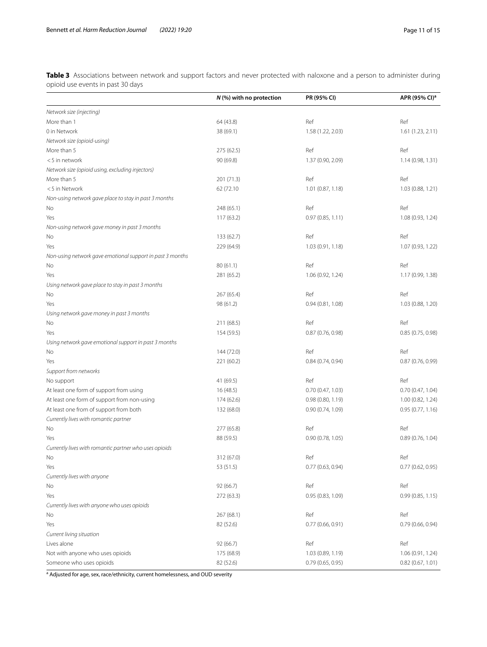<span id="page-10-0"></span>**Table 3** Associations between network and support factors and never protected with naloxone and a person to administer during opioid use events in past 30 days

|                                                           | $N$ (%) with no protection | PR (95% CI)         | APR (95% CI) <sup>a</sup> |
|-----------------------------------------------------------|----------------------------|---------------------|---------------------------|
| Network size (injecting)                                  |                            |                     |                           |
| More than 1                                               | 64 (43.8)                  | Ref                 | Ref                       |
| 0 in Network                                              | 38 (69.1)                  | 1.58 (1.22, 2.03)   | 1.61(1.23, 2.11)          |
| Network size (opioid-using)                               |                            |                     |                           |
| More than 5                                               | 275 (62.5)                 | Ref                 | Ref                       |
| <5 in network                                             | 90 (69.8)                  | 1.37 (0.90, 2.09)   | 1.14 (0.98, 1.31)         |
| Network size (opioid using, excluding injectors)          |                            |                     |                           |
| More than 5                                               | 201 (71.3)                 | Ref                 | Ref                       |
| <5 in Network                                             | 62 (72.10                  | $1.01$ (0.87, 1.18) | 1.03 (0.88, 1.21)         |
| Non-using network gave place to stay in past 3 months     |                            |                     |                           |
| No                                                        | 248 (65.1)                 | Ref                 | Ref                       |
| Yes                                                       | 117(63.2)                  | 0.97(0.85, 1.11)    | 1.08 (0.93, 1.24)         |
| Non-using network gave money in past 3 months             |                            |                     |                           |
| No                                                        | 133 (62.7)                 | Ref                 | Ref                       |
| Yes                                                       | 229 (64.9)                 | 1.03(0.91, 1.18)    | 1.07 (0.93, 1.22)         |
| Non-using network gave emotional support in past 3 months |                            |                     |                           |
| No                                                        | 80(61.1)                   | Ref                 | Ref                       |
| Yes                                                       | 281 (65.2)                 | 1.06 (0.92, 1.24)   | 1.17 (0.99, 1.38)         |
| Using network gave place to stay in past 3 months         |                            |                     |                           |
| No                                                        | 267 (65.4)                 | Ref                 | Ref                       |
| Yes                                                       | 98 (61.2)                  | 0.94(0.81, 1.08)    | 1.03 (0.88, 1.20)         |
| Using network gave money in past 3 months                 |                            |                     |                           |
| No                                                        | 211 (68.5)                 | Ref                 | Ref                       |
| Yes                                                       | 154 (59.5)                 | 0.87 (0.76, 0.98)   | 0.85(0.75, 0.98)          |
| Using network gave emotional support in past 3 months     |                            |                     |                           |
| No                                                        | 144 (72.0)                 | Ref                 | Ref                       |
| Yes                                                       | 221 (60.2)                 | 0.84(0.74, 0.94)    | 0.87(0.76, 0.99)          |
| Support from networks                                     |                            |                     |                           |
| No support                                                | 41 (69.5)                  | Ref                 | Ref                       |
| At least one form of support from using                   | 16 (48.5)                  | 0.70(0.47, 1.03)    | 0.70(0.47, 1.04)          |
| At least one form of support from non-using               | 174 (62.6)                 | 0.98 (0.80, 1.19)   | 1.00 (0.82, 1.24)         |
| At least one from of support from both                    | 132 (68.0)                 | 0.90 (0.74, 1.09)   | 0.95(0.77, 1.16)          |
| Currently lives with romantic partner                     |                            |                     |                           |
| No                                                        | 277 (65.8)                 | Ref                 | Ref                       |
| Yes                                                       | 88 (59.5)                  | 0.90 (0.78, 1.05)   | 0.89(0.76, 1.04)          |
| Currently lives with romantic partner who uses opioids    |                            |                     |                           |
| No                                                        | 312 (67.0)                 | Ref                 | Ref                       |
| Yes                                                       | 53 (51.5)                  | 0.77(0.63, 0.94)    | 0.77(0.62, 0.95)          |
| Currently lives with anyone                               |                            |                     |                           |
| No                                                        | 92 (66.7)                  | Ref                 | Ref                       |
| Yes                                                       | 272 (63.3)                 | 0.95 (0.83, 1.09)   | 0.99(0.85, 1.15)          |
| Currently lives with anyone who uses opioids              |                            |                     |                           |
| No                                                        | 267 (68.1)                 | Ref                 | Ref                       |
| Yes                                                       | 82 (52.6)                  | 0.77(0.66, 0.91)    | 0.79 (0.66, 0.94)         |
| Current living situation                                  |                            |                     |                           |
| Lives alone                                               | 92 (66.7)                  | Ref                 | Ref                       |
| Not with anyone who uses opioids                          | 175 (68.9)                 | 1.03 (0.89, 1.19)   | 1.06 (0.91, 1.24)         |
| Someone who uses opioids                                  | 82 (52.6)                  | 0.79(0.65, 0.95)    | 0.82(0.67, 1.01)          |
|                                                           |                            |                     |                           |

<sup>a</sup> Adjusted for age, sex, race/ethnicity, current homelessness, and OUD severity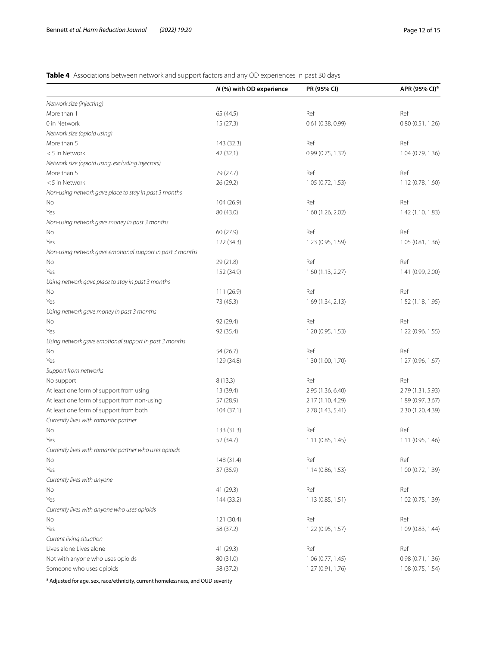## <span id="page-11-0"></span>**Table 4** Associations between network and support factors and any OD experiences in past 30 days

|                                                           | N (%) with OD experience | PR (95% CI)         | APR (95% CI) <sup>a</sup> |
|-----------------------------------------------------------|--------------------------|---------------------|---------------------------|
| Network size (injecting)                                  |                          |                     |                           |
| More than 1                                               | 65 (44.5)                | Ref                 | Ref                       |
| 0 in Network                                              | 15(27.3)                 | $0.61$ (0.38, 0.99) | 0.80(0.51, 1.26)          |
| Network size (opioid using)                               |                          |                     |                           |
| More than 5                                               | 143 (32.3)               | Ref                 | Ref                       |
| <5 in Network                                             | 42 (32.1)                | 0.99(0.75, 1.32)    | 1.04 (0.79, 1.36)         |
| Network size (opioid using, excluding injectors)          |                          |                     |                           |
| More than 5                                               | 79 (27.7)                | Ref                 | Ref                       |
| <5 in Network                                             | 26 (29.2)                | 1.05(0.72, 1.53)    | 1.12 (0.78, 1.60)         |
| Non-using network gave place to stay in past 3 months     |                          |                     |                           |
| No                                                        | 104 (26.9)               | Ref                 | Ref                       |
| Yes                                                       | 80 (43.0)                | 1.60 (1.26, 2.02)   | 1.42 (1.10, 1.83)         |
| Non-using network gave money in past 3 months             |                          |                     |                           |
| No                                                        | 60 (27.9)                | Ref                 | Ref                       |
| Yes                                                       | 122 (34.3)               | 1.23 (0.95, 1.59)   | 1.05 (0.81, 1.36)         |
| Non-using network gave emotional support in past 3 months |                          |                     |                           |
| No                                                        | 29 (21.8)                | Ref                 | Ref                       |
| Yes                                                       | 152 (34.9)               | 1.60(1.13, 2.27)    | 1.41 (0.99, 2.00)         |
| Using network gave place to stay in past 3 months         |                          |                     |                           |
| No                                                        | 111 (26.9)               | Ref                 | Ref                       |
| Yes                                                       | 73 (45.3)                | 1.69(1.34, 2.13)    | 1.52 (1.18, 1.95)         |
| Using network gave money in past 3 months                 |                          |                     |                           |
| No                                                        | 92 (29.4)                | Ref                 | Ref                       |
| Yes                                                       | 92 (35.4)                | 1.20 (0.95, 1.53)   | 1.22 (0.96, 1.55)         |
| Using network gave emotional support in past 3 months     |                          |                     |                           |
| No                                                        | 54 (26.7)                | Ref                 | Ref                       |
| Yes                                                       | 129 (34.8)               | 1.30 (1.00, 1.70)   | 1.27 (0.96, 1.67)         |
| Support from networks                                     |                          |                     |                           |
| No support                                                | 8(13.3)                  | Ref                 | Ref                       |
| At least one form of support from using                   | 13 (39.4)                | 2.95 (1.36, 6.40)   | 2.79 (1.31, 5.93)         |
| At least one form of support from non-using               | 57 (28.9)                | 2.17 (1.10, 4.29)   | 1.89 (0.97, 3.67)         |
| At least one form of support from both                    | 104(37.1)                | 2.78 (1.43, 5.41)   | 2.30 (1.20, 4.39)         |
| Currently lives with romantic partner                     |                          |                     |                           |
| No                                                        | 133 (31.3)               | Ref                 | Ref                       |
| Yes                                                       | 52 (34.7)                | 1.11(0.85, 1.45)    | 1.11 (0.95, 1.46)         |
| Currently lives with romantic partner who uses opioids    |                          |                     |                           |
| No                                                        | 148 (31.4)               | Ref                 | Ref                       |
| Yes                                                       | 37 (35.9)                | 1.14(0.86, 1.53)    | 1.00 (0.72, 1.39)         |
| Currently lives with anyone                               |                          |                     |                           |
| No                                                        | 41 (29.3)                | Ref                 | Ref                       |
| Yes                                                       | 144 (33.2)               | 1.13 (0.85, 1.51)   | 1.02 (0.75, 1.39)         |
| Currently lives with anyone who uses opioids              |                          |                     |                           |
| No                                                        | 121 (30.4)               | Ref                 | Ref                       |
| Yes                                                       | 58 (37.2)                | 1.22 (0.95, 1.57)   | 1.09 (0.83, 1.44)         |
| Current living situation                                  |                          |                     |                           |
| Lives alone Lives alone                                   | 41 (29.3)                | Ref                 | Ref                       |
| Not with anyone who uses opioids                          | 80 (31.0)                | 1.06(0.77, 1.45)    | 0.98(0.71, 1.36)          |
| Someone who uses opioids                                  | 58 (37.2)                | 1.27 (0.91, 1.76)   | 1.08 (0.75, 1.54)         |

<sup>a</sup> Adjusted for age, sex, race/ethnicity, current homelessness, and OUD severity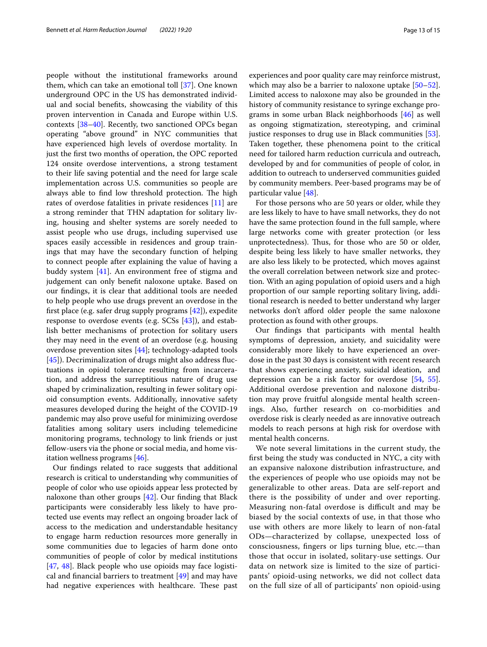people without the institutional frameworks around them, which can take an emotional toll [\[37\]](#page-14-18). One known underground OPC in the US has demonstrated individual and social benefts, showcasing the viability of this proven intervention in Canada and Europe within U.S. contexts [[38](#page-14-19)[–40](#page-14-20)]. Recently, two sanctioned OPCs began operating "above ground" in NYC communities that have experienced high levels of overdose mortality. In just the frst two months of operation, the OPC reported 124 onsite overdose interventions, a strong testament to their life saving potential and the need for large scale implementation across U.S. communities so people are always able to find low threshold protection. The high rates of overdose fatalities in private residences [[11](#page-13-8)] are a strong reminder that THN adaptation for solitary living, housing and shelter systems are sorely needed to assist people who use drugs, including supervised use spaces easily accessible in residences and group trainings that may have the secondary function of helping to connect people after explaining the value of having a buddy system [\[41\]](#page-14-21). An environment free of stigma and judgement can only beneft naloxone uptake. Based on our fndings, it is clear that additional tools are needed to help people who use drugs prevent an overdose in the frst place (e.g. safer drug supply programs [\[42\]](#page-14-22)), expedite response to overdose events (e.g. SCSs [\[43](#page-14-23)]), and establish better mechanisms of protection for solitary users they may need in the event of an overdose (e.g. housing overdose prevention sites [[44\]](#page-14-24); technology-adapted tools [[45\]](#page-14-25)). Decriminalization of drugs might also address fluctuations in opioid tolerance resulting from incarceration, and address the surreptitious nature of drug use shaped by criminalization, resulting in fewer solitary opioid consumption events. Additionally, innovative safety measures developed during the height of the COVID-19 pandemic may also prove useful for minimizing overdose fatalities among solitary users including telemedicine monitoring programs, technology to link friends or just fellow-users via the phone or social media, and home visitation wellness programs [[46\]](#page-14-26).

Our fndings related to race suggests that additional research is critical to understanding why communities of people of color who use opioids appear less protected by naloxone than other groups  $[42]$  $[42]$ . Our finding that Black participants were considerably less likely to have protected use events may refect an ongoing broader lack of access to the medication and understandable hesitancy to engage harm reduction resources more generally in some communities due to legacies of harm done onto communities of people of color by medical institutions [[47,](#page-14-27) [48](#page-14-28)]. Black people who use opioids may face logistical and fnancial barriers to treatment [\[49](#page-14-29)] and may have had negative experiences with healthcare. These past experiences and poor quality care may reinforce mistrust, which may also be a barrier to naloxone uptake [[50](#page-14-30)[–52](#page-14-31)]. Limited access to naloxone may also be grounded in the history of community resistance to syringe exchange programs in some urban Black neighborhoods [\[46](#page-14-26)] as well as ongoing stigmatization, stereotyping, and criminal justice responses to drug use in Black communities [\[53](#page-14-32)]. Taken together, these phenomena point to the critical need for tailored harm reduction curricula and outreach, developed by and for communities of people of color, in addition to outreach to underserved communities guided by community members. Peer-based programs may be of particular value [\[48\]](#page-14-28).

For those persons who are 50 years or older, while they are less likely to have to have small networks, they do not have the same protection found in the full sample, where large networks come with greater protection (or less unprotectedness). Thus, for those who are 50 or older, despite being less likely to have smaller networks, they are also less likely to be protected, which moves against the overall correlation between network size and protection. With an aging population of opioid users and a high proportion of our sample reporting solitary living, additional research is needed to better understand why larger networks don't afford older people the same naloxone protection as found with other groups.

Our fndings that participants with mental health symptoms of depression, anxiety, and suicidality were considerably more likely to have experienced an overdose in the past 30 days is consistent with recent research that shows experiencing anxiety, suicidal ideation, and depression can be a risk factor for overdose [\[54](#page-14-33), [55](#page-14-34)]. Additional overdose prevention and naloxone distribution may prove fruitful alongside mental health screenings. Also, further research on co-morbidities and overdose risk is clearly needed as are innovative outreach models to reach persons at high risk for overdose with mental health concerns.

We note several limitations in the current study, the frst being the study was conducted in NYC, a city with an expansive naloxone distribution infrastructure, and the experiences of people who use opioids may not be generalizable to other areas. Data are self-report and there is the possibility of under and over reporting. Measuring non-fatal overdose is difficult and may be biased by the social contexts of use, in that those who use with others are more likely to learn of non-fatal ODs—characterized by collapse, unexpected loss of consciousness, fngers or lips turning blue, etc.—than those that occur in isolated, solitary-use settings. Our data on network size is limited to the size of participants' opioid-using networks, we did not collect data on the full size of all of participants' non opioid-using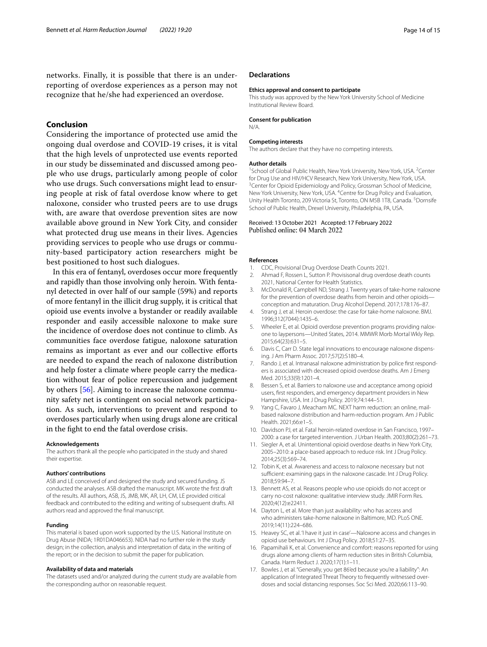networks. Finally, it is possible that there is an underreporting of overdose experiences as a person may not recognize that he/she had experienced an overdose.

## **Conclusion**

Considering the importance of protected use amid the ongoing dual overdose and COVID-19 crises, it is vital that the high levels of unprotected use events reported in our study be disseminated and discussed among people who use drugs, particularly among people of color who use drugs. Such conversations might lead to ensuring people at risk of fatal overdose know where to get naloxone, consider who trusted peers are to use drugs with, are aware that overdose prevention sites are now available above ground in New York City, and consider what protected drug use means in their lives. Agencies providing services to people who use drugs or community-based participatory action researchers might be best positioned to host such dialogues.

In this era of fentanyl, overdoses occur more frequently and rapidly than those involving only heroin. With fentanyl detected in over half of our sample (59%) and reports of more fentanyl in the illicit drug supply, it is critical that opioid use events involve a bystander or readily available responder and easily accessible naloxone to make sure the incidence of overdose does not continue to climb. As communities face overdose fatigue, naloxone saturation remains as important as ever and our collective eforts are needed to expand the reach of naloxone distribution and help foster a climate where people carry the medication without fear of police repercussion and judgement by others [[56\]](#page-14-35). Aiming to increase the naloxone community safety net is contingent on social network participation. As such, interventions to prevent and respond to overdoses particularly when using drugs alone are critical in the fght to end the fatal overdose crisis.

#### **Acknowledgements**

The authors thank all the people who participated in the study and shared their expertise.

#### **Authors' contributions**

ASB and LE conceived of and designed the study and secured funding. JS conducted the analyses. ASB drafted the manuscript. MK wrote the frst draft of the results. All authors, ASB, JS, JMB, MK, AR, LH, CM, LE provided critical feedback and contributed to the editing and writing of subsequent drafts. All authors read and approved the fnal manuscript.

#### **Funding**

This material is based upon work supported by the U.S. National Institute on Drug Abuse (NIDA; 1R01DA046653). NIDA had no further role in the study design; in the collection, analysis and interpretation of data; in the writing of the report; or in the decision to submit the paper for publication.

#### **Availability of data and materials**

The datasets used and/or analyzed during the current study are available from the corresponding author on reasonable request.

#### **Declarations**

#### **Ethics approval and consent to participate**

This study was approved by the New York University School of Medicine Institutional Review Board.

## **Consent for publication**

N/A.

#### **Competing interests**

The authors declare that they have no competing interests.

#### **Author details**

<sup>1</sup> School of Global Public Health, New York University, New York, USA. <sup>2</sup> Center for Drug Use and HIV/HCV Research, New York University, New York, USA. <sup>3</sup> Center for Opioid Epidemiology and Policy, Grossman School of Medicine, New York University, New York, USA. <sup>4</sup> Centre for Drug Policy and Evaluation, Unity Health Toronto, 209 Victoria St, Toronto, ON M5B 1T8, Canada. <sup>5</sup> Dornsife School of Public Health, Drexel University, Philadelphia, PA, USA.

#### Received: 13 October 2021 Accepted: 17 February 2022 Published online: 04 March 2022

#### **References**

- <span id="page-13-0"></span>1. CDC, Provisional Drug Overdose Death Counts 2021.
- <span id="page-13-1"></span>2. Ahmad F, Rossen L, Sutton P. Provisisonal drug overdose death counts 2021, National Center for Health Statistics.
- <span id="page-13-2"></span>3. McDonald R, Campbell ND, Strang J. Twenty years of take-home naloxone for the prevention of overdose deaths from heroin and other opioidsconception and maturation. Drug Alcohol Depend. 2017;178:176–87.
- 4. Strang J, et al. Heroin overdose: the case for take-home naloxone. BMJ. 1996;312(7044):1435–6.
- <span id="page-13-9"></span>5. Wheeler E, et al. Opioid overdose prevention programs providing naloxone to laypersons—United States, 2014. MMWR Morb Mortal Wkly Rep. 2015;64(23):631–5.
- <span id="page-13-3"></span>6. Davis C, Carr D. State legal innovations to encourage naloxone dispensing. J Am Pharm Assoc. 2017;57(2):S180–4.
- <span id="page-13-4"></span>7. Rando J, et al. Intranasal naloxone administration by police frst responders is associated with decreased opioid overdose deaths. Am J Emerg Med. 2015;33(9):1201–4.
- <span id="page-13-5"></span>8. Bessen S, et al. Barriers to naloxone use and acceptance among opioid users, frst responders, and emergency department providers in New Hampshire, USA. Int J Drug Policy. 2019;74:144–51.
- <span id="page-13-6"></span>9. Yang C, Favaro J, Meacham MC. NEXT harm reduction: an online, mailbased naloxone distribution and harm-reduction program. Am J Public Health. 2021;66:e1–5.
- <span id="page-13-7"></span>10. Davidson PJ, et al. Fatal heroin-related overdose in San Francisco, 1997– 2000: a case for targeted intervention. J Urban Health. 2003;80(2):261–73.
- <span id="page-13-8"></span>11. Siegler A, et al. Unintentional opioid overdose deaths in New York City, 2005–2010: a place-based approach to reduce risk. Int J Drug Policy. 2014;25(3):569–74.
- <span id="page-13-10"></span>12. Tobin K, et al. Awareness and access to naloxone necessary but not sufficient: examining gaps in the naloxone cascade. Int J Drug Policy. 2018;59:94–7.
- <span id="page-13-11"></span>13. Bennett AS, et al. Reasons people who use opioids do not accept or carry no-cost naloxone: qualitative interview study. JMIR Form Res. 2020;4(12):e22411.
- <span id="page-13-12"></span>14. Dayton L, et al. More than just availability: who has access and who administers take-home naloxone in Baltimore, MD. PLoS ONE. 2019;14(11):224–686.
- <span id="page-13-13"></span>15. Heavey SC, et al. 'I have it just in case'—Naloxone access and changes in opioid use behaviours. Int J Drug Policy. 2018;51:27–35.
- <span id="page-13-14"></span>16. Papamihali K, et al. Convenience and comfort: reasons reported for using drugs alone among clients of harm reduction sites in British Columbia, Canada. Harm Reduct J. 2020;17(1):1–11.
- <span id="page-13-15"></span>17. Bowles J, et al. "Generally, you get 86'ed because you're a liability": An application of Integrated Threat Theory to frequently witnessed overdoses and social distancing responses. Soc Sci Med. 2020;66:113–90.